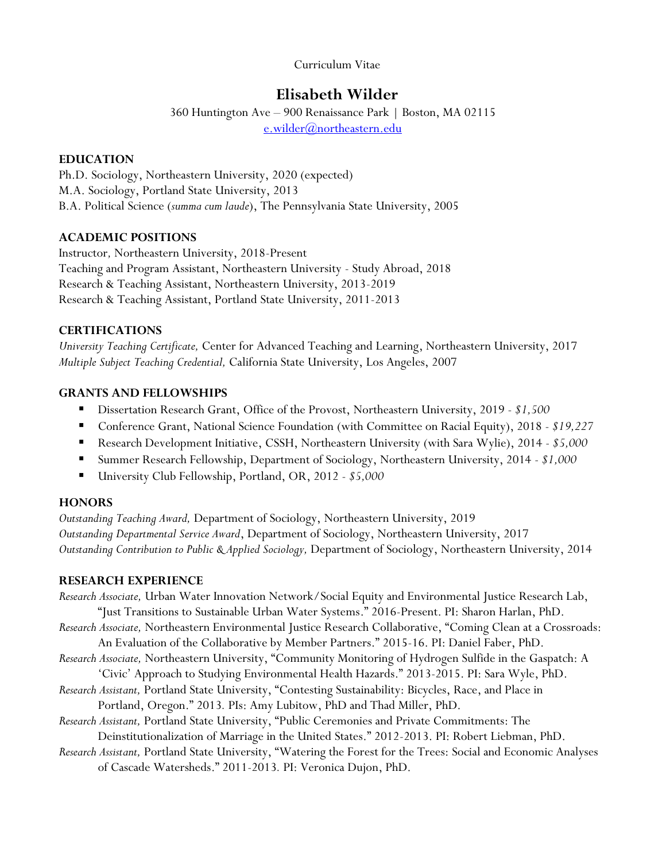Curriculum Vitae

# **Elisabeth Wilder**

360 Huntington Ave – 900 Renaissance Park | Boston, MA 02115 [e.wilder@northeastern.edu](mailto:e.wilder@northeastern.edu)

# **EDUCATION**

Ph.D. Sociology, Northeastern University, 2020 (expected) M.A. Sociology, Portland State University, 2013 B.A. Political Science (*summa cum laude*), The Pennsylvania State University, 2005

# **ACADEMIC POSITIONS**

Instructor*,* Northeastern University, 2018-Present Teaching and Program Assistant, Northeastern University - Study Abroad, 2018 Research & Teaching Assistant, Northeastern University, 2013-2019 Research & Teaching Assistant, Portland State University, 2011-2013

# **CERTIFICATIONS**

*University Teaching Certificate,* Center for Advanced Teaching and Learning, Northeastern University, 2017 *Multiple Subject Teaching Credential,* California State University, Los Angeles, 2007

# **GRANTS AND FELLOWSHIPS**

- Dissertation Research Grant, Office of the Provost, Northeastern University, 2019 *\$1,500*
- Conference Grant, National Science Foundation (with Committee on Racial Equity), 2018 *\$19,227*
- Research Development Initiative, CSSH, Northeastern University (with Sara Wylie), 2014 *\$5,000*
- Summer Research Fellowship, Department of Sociology, Northeastern University, 2014 *\$1,000*
- University Club Fellowship, Portland, OR, 2012 *\$5,000*

# **HONORS**

*Outstanding Teaching Award,* Department of Sociology, Northeastern University, 2019 *Outstanding Departmental Service Award*, Department of Sociology, Northeastern University, 2017 *Outstanding Contribution to Public & Applied Sociology,* Department of Sociology, Northeastern University, 2014

# **RESEARCH EXPERIENCE**

- *Research Associate,* Urban Water Innovation Network/Social Equity and Environmental Justice Research Lab, "Just Transitions to Sustainable Urban Water Systems." 2016-Present. PI: Sharon Harlan, PhD. *Research Associate,* Northeastern Environmental Justice Research Collaborative, "Coming Clean at a Crossroads: An Evaluation of the Collaborative by Member Partners." 2015-16. PI: Daniel Faber, PhD. *Research Associate,* Northeastern University, "Community Monitoring of Hydrogen Sulfide in the Gaspatch: A 'Civic' Approach to Studying Environmental Health Hazards." 2013-2015. PI: Sara Wyle, PhD. *Research Assistant,* Portland State University, "Contesting Sustainability: Bicycles, Race, and Place in Portland, Oregon." 2013*.* PIs: Amy Lubitow, PhD and Thad Miller, PhD. *Research Assistant,* Portland State University, "Public Ceremonies and Private Commitments: The Deinstitutionalization of Marriage in the United States." 2012-2013. PI: Robert Liebman, PhD.
- *Research Assistant,* Portland State University, "Watering the Forest for the Trees: Social and Economic Analyses of Cascade Watersheds." 2011-2013*.* PI: Veronica Dujon, PhD.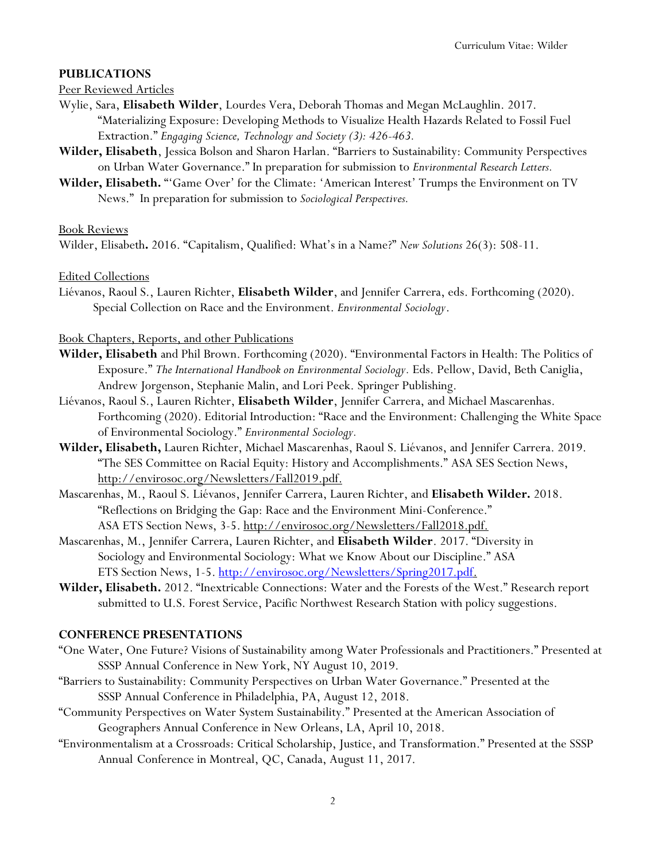### **PUBLICATIONS**

#### Peer Reviewed Articles

- Wylie, Sara, **Elisabeth Wilder**, Lourdes Vera, Deborah Thomas and Megan McLaughlin. 2017. "Materializing Exposure: Developing Methods to Visualize Health Hazards Related to Fossil Fuel Extraction." *Engaging Science, Technology and Society (3): 426-463.*
- **Wilder, Elisabeth**, Jessica Bolson and Sharon Harlan. "Barriers to Sustainability: Community Perspectives on Urban Water Governance." In preparation for submission to *Environmental Research Letters.*
- **Wilder, Elisabeth.** "'Game Over' for the Climate: 'American Interest' Trumps the Environment on TV News." In preparation for submission to *Sociological Perspectives.*

#### Book Reviews

Wilder, Elisabeth**.** 2016. "Capitalism, Qualified: What's in a Name?" *New Solutions* 26(3): 508-11.

Edited Collections

Liévanos, Raoul S., Lauren Richter, **Elisabeth Wilder**, and Jennifer Carrera, eds. Forthcoming (2020). Special Collection on Race and the Environment. *Environmental Sociology*.

#### Book Chapters, Reports, and other Publications

- **Wilder, Elisabeth** and Phil Brown. Forthcoming (2020). "Environmental Factors in Health: The Politics of Exposure." *The International Handbook on Environmental Sociology*. Eds. Pellow, David, Beth Caniglia, Andrew Jorgenson, Stephanie Malin, and Lori Peek. Springer Publishing.
- Liévanos, Raoul S., Lauren Richter, **Elisabeth Wilder**, Jennifer Carrera, and Michael Mascarenhas. Forthcoming (2020). Editorial Introduction: "Race and the Environment: Challenging the White Space of Environmental Sociology." *Environmental Sociology.*
- **Wilder, Elisabeth,** Lauren Richter, Michael Mascarenhas, Raoul S. Liévanos, and Jennifer Carrera. 2019. "The SES Committee on Racial Equity: History and Accomplishments." ASA SES Section News, http://envirosoc.org/Newsletters/Fall2019.pdf.
- Mascarenhas, M., Raoul S. Liévanos, Jennifer Carrera, Lauren Richter, and **Elisabeth Wilder.** 2018. "Reflections on Bridging the Gap: Race and the Environment Mini-Conference." ASA ETS Section News, 3-5. http://envirosoc.org/Newsletters/Fall2018.pdf.
- Mascarenhas, M., Jennifer Carrera, Lauren Richter, and **Elisabeth Wilder**. 2017. "Diversity in Sociology and Environmental Sociology: What we Know About our Discipline." ASA ETS Section News, 1-5. [http://envirosoc.org/Newsletters/Spring2017.pdf.](http://envirosoc.org/Newsletters/Spring2017.pdf)
- **Wilder, Elisabeth.** 2012. "Inextricable Connections: Water and the Forests of the West." Research report submitted to U.S. Forest Service, Pacific Northwest Research Station with policy suggestions.

### **CONFERENCE PRESENTATIONS**

- "One Water, One Future? Visions of Sustainability among Water Professionals and Practitioners." Presented at SSSP Annual Conference in New York, NY August 10, 2019.
- "Barriers to Sustainability: Community Perspectives on Urban Water Governance." Presented at the SSSP Annual Conference in Philadelphia, PA, August 12, 2018.
- "Community Perspectives on Water System Sustainability." Presented at the American Association of Geographers Annual Conference in New Orleans, LA, April 10, 2018.
- "Environmentalism at a Crossroads: Critical Scholarship, Justice, and Transformation." Presented at the SSSP Annual Conference in Montreal, QC, Canada, August 11, 2017.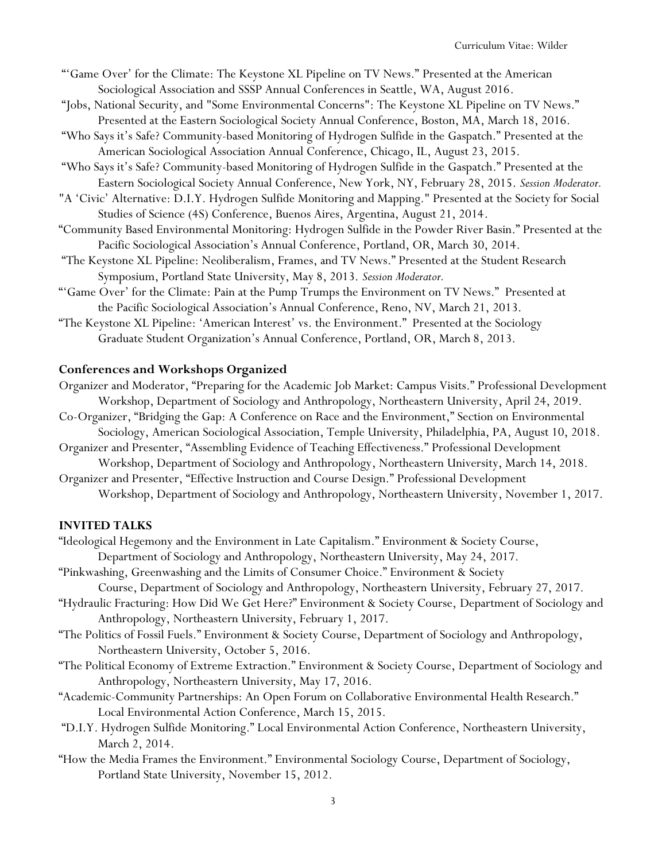- "'Game Over' for the Climate: The Keystone XL Pipeline on TV News." Presented at the American Sociological Association and SSSP Annual Conferences in Seattle, WA, August 2016.
- "Jobs, National Security, and "Some Environmental Concerns": The Keystone XL Pipeline on TV News." Presented at the Eastern Sociological Society Annual Conference, Boston, MA, March 18, 2016.
- "Who Says it's Safe? Community-based Monitoring of Hydrogen Sulfide in the Gaspatch." Presented at the American Sociological Association Annual Conference, Chicago, IL, August 23, 2015.
- "Who Says it's Safe? Community-based Monitoring of Hydrogen Sulfide in the Gaspatch." Presented at the Eastern Sociological Society Annual Conference, New York, NY, February 28, 2015. *Session Moderator.*
- "A 'Civic' Alternative: D.I.Y. Hydrogen Sulfide Monitoring and Mapping." Presented at the Society for Social Studies of Science (4S) Conference, Buenos Aires, Argentina, August 21, 2014.
- "Community Based Environmental Monitoring: Hydrogen Sulfide in the Powder River Basin." Presented at the Pacific Sociological Association's Annual Conference, Portland, OR, March 30, 2014.
- "The Keystone XL Pipeline: Neoliberalism, Frames, and TV News." Presented at the Student Research Symposium, Portland State University, May 8, 2013. *Session Moderator.*
- "'Game Over' for the Climate: Pain at the Pump Trumps the Environment on TV News." Presented at the Pacific Sociological Association's Annual Conference, Reno, NV, March 21, 2013.
- "The Keystone XL Pipeline: 'American Interest' vs. the Environment." Presented at the Sociology Graduate Student Organization's Annual Conference, Portland, OR, March 8, 2013.

# **Conferences and Workshops Organized**

- Organizer and Moderator, "Preparing for the Academic Job Market: Campus Visits." Professional Development Workshop, Department of Sociology and Anthropology, Northeastern University, April 24, 2019.
- Co-Organizer, "Bridging the Gap: A Conference on Race and the Environment," Section on Environmental
- Sociology, American Sociological Association, Temple University, Philadelphia, PA, August 10, 2018. Organizer and Presenter, "Assembling Evidence of Teaching Effectiveness." Professional Development
- Workshop, Department of Sociology and Anthropology, Northeastern University, March 14, 2018.
- Organizer and Presenter, "Effective Instruction and Course Design." Professional Development Workshop, Department of Sociology and Anthropology, Northeastern University, November 1, 2017.

### **INVITED TALKS**

- "Ideological Hegemony and the Environment in Late Capitalism." Environment & Society Course,
- Department of Sociology and Anthropology, Northeastern University, May 24, 2017. "Pinkwashing, Greenwashing and the Limits of Consumer Choice." Environment & Society
	- Course, Department of Sociology and Anthropology, Northeastern University, February 27, 2017.
- "Hydraulic Fracturing: How Did We Get Here?" Environment & Society Course, Department of Sociology and Anthropology, Northeastern University, February 1, 2017.
- "The Politics of Fossil Fuels." Environment & Society Course, Department of Sociology and Anthropology, Northeastern University, October 5, 2016.
- "The Political Economy of Extreme Extraction." Environment & Society Course, Department of Sociology and Anthropology, Northeastern University, May 17, 2016.
- "Academic-Community Partnerships: An Open Forum on Collaborative Environmental Health Research." Local Environmental Action Conference, March 15, 2015.
- "D.I.Y. Hydrogen Sulfide Monitoring." Local Environmental Action Conference, Northeastern University, March 2, 2014.
- "How the Media Frames the Environment." Environmental Sociology Course, Department of Sociology, Portland State University, November 15, 2012.